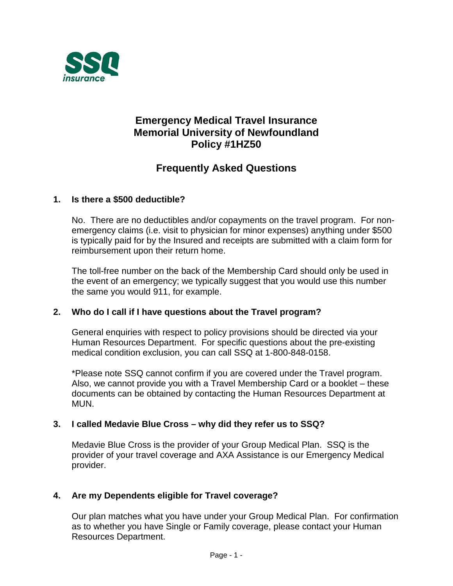

# **Emergency Medical Travel Insurance Memorial University of Newfoundland Policy #1HZ50**

# **Frequently Asked Questions**

# **1. Is there a \$500 deductible?**

No. There are no deductibles and/or copayments on the travel program. For nonemergency claims (i.e. visit to physician for minor expenses) anything under \$500 is typically paid for by the Insured and receipts are submitted with a claim form for reimbursement upon their return home.

The toll-free number on the back of the Membership Card should only be used in the event of an emergency; we typically suggest that you would use this number the same you would 911, for example.

#### **2. Who do I call if I have questions about the Travel program?**

General enquiries with respect to policy provisions should be directed via your Human Resources Department. For specific questions about the pre-existing medical condition exclusion, you can call SSQ at 1-800-848-0158.

\*Please note SSQ cannot confirm if you are covered under the Travel program. Also, we cannot provide you with a Travel Membership Card or a booklet – these documents can be obtained by contacting the Human Resources Department at MUN.

#### **3. I called Medavie Blue Cross – why did they refer us to SSQ?**

Medavie Blue Cross is the provider of your Group Medical Plan. SSQ is the provider of your travel coverage and AXA Assistance is our Emergency Medical provider.

#### **4. Are my Dependents eligible for Travel coverage?**

Our plan matches what you have under your Group Medical Plan. For confirmation as to whether you have Single or Family coverage, please contact your Human Resources Department.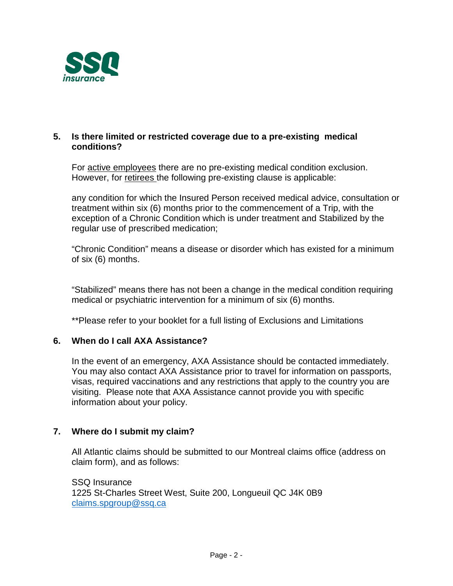

#### **5. Is there limited or restricted coverage due to a pre-existing medical conditions?**

For active employees there are no pre-existing medical condition exclusion. However, for retirees the following pre-existing clause is applicable:

any condition for which the Insured Person received medical advice, consultation or treatment within six (6) months prior to the commencement of a Trip, with the exception of a Chronic Condition which is under treatment and Stabilized by the regular use of prescribed medication;

"Chronic Condition" means a disease or disorder which has existed for a minimum of six (6) months.

"Stabilized" means there has not been a change in the medical condition requiring medical or psychiatric intervention for a minimum of six (6) months.

\*\*Please refer to your booklet for a full listing of Exclusions and Limitations

#### **6. When do I call AXA Assistance?**

In the event of an emergency, AXA Assistance should be contacted immediately. You may also contact AXA Assistance prior to travel for information on passports, visas, required vaccinations and any restrictions that apply to the country you are visiting. Please note that AXA Assistance cannot provide you with specific information about your policy.

#### **7. Where do I submit my claim?**

All Atlantic claims should be submitted to our Montreal claims office (address on claim form), and as follows:

SSQ Insurance 1225 St-Charles Street West, Suite 200, Longueuil QC J4K 0B9 [claims.spgroup@ssq.ca](mailto:claims.spgroup@ssq.ca)